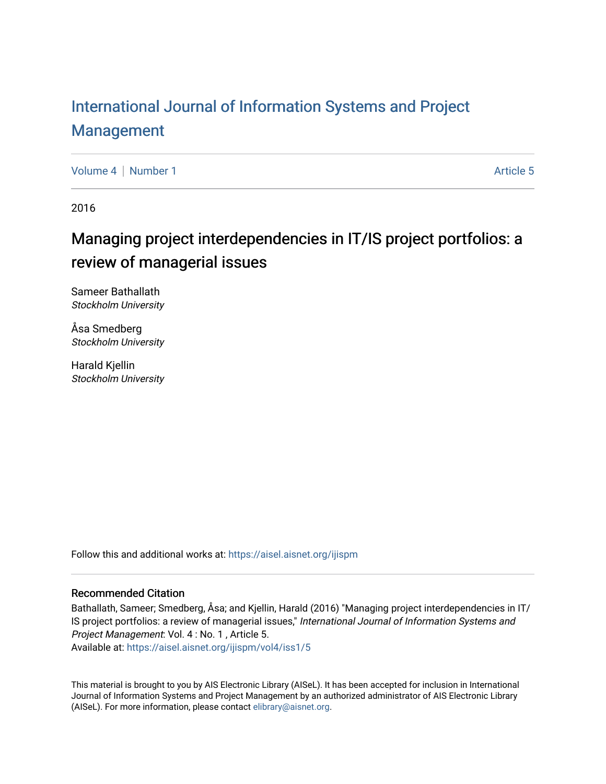# [International Journal of Information Systems and Project](https://aisel.aisnet.org/ijispm)  [Management](https://aisel.aisnet.org/ijispm)

[Volume 4](https://aisel.aisnet.org/ijispm/vol4) | [Number 1](https://aisel.aisnet.org/ijispm/vol4/iss1) Article 5

2016

# Managing project interdependencies in IT/IS project portfolios: a review of managerial issues

Sameer Bathallath Stockholm University

Åsa Smedberg Stockholm University

Harald Kjellin Stockholm University

Follow this and additional works at: [https://aisel.aisnet.org/ijispm](https://aisel.aisnet.org/ijispm?utm_source=aisel.aisnet.org%2Fijispm%2Fvol4%2Fiss1%2F5&utm_medium=PDF&utm_campaign=PDFCoverPages) 

# Recommended Citation

Bathallath, Sameer; Smedberg, Åsa; and Kjellin, Harald (2016) "Managing project interdependencies in IT/ IS project portfolios: a review of managerial issues," International Journal of Information Systems and Project Management: Vol. 4 : No. 1 , Article 5.

Available at: [https://aisel.aisnet.org/ijispm/vol4/iss1/5](https://aisel.aisnet.org/ijispm/vol4/iss1/5?utm_source=aisel.aisnet.org%2Fijispm%2Fvol4%2Fiss1%2F5&utm_medium=PDF&utm_campaign=PDFCoverPages) 

This material is brought to you by AIS Electronic Library (AISeL). It has been accepted for inclusion in International Journal of Information Systems and Project Management by an authorized administrator of AIS Electronic Library (AISeL). For more information, please contact [elibrary@aisnet.org](mailto:elibrary@aisnet.org%3E).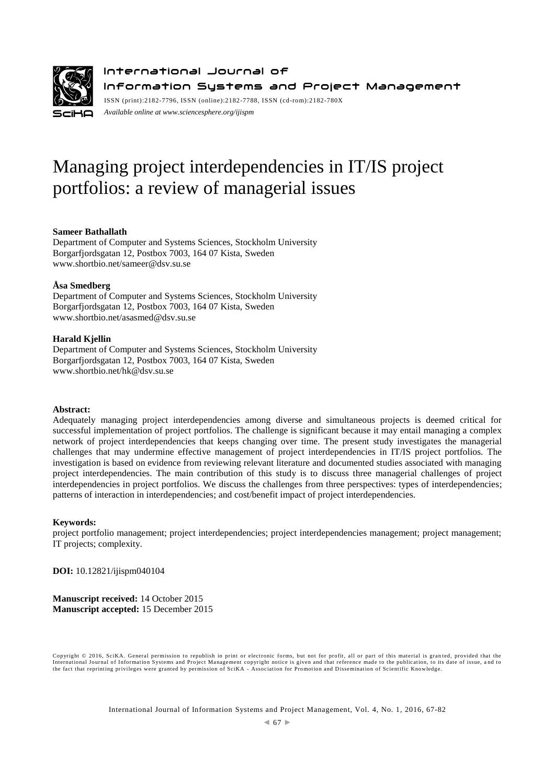

International Journal of Information Systems and Project Management ISSN (print):2182-7796, ISSN (online):2182-7788, ISSN (cd-rom):2182-780X

*Available online a[t www.sciencesphere.org/ijispm](http://www.sciencesphere.org/ijispm)*

# Managing project interdependencies in IT/IS project portfolios: a review of managerial issues

## **Sameer Bathallath**

Department of Computer and Systems Sciences, Stockholm University Borgarfjordsgatan 12, Postbox 7003, 164 07 Kista, Sweden www.shortbio.net/sameer@dsv.su.se

## **Åsa Smedberg**

Department of Computer and Systems Sciences, Stockholm University Borgarfjordsgatan 12, Postbox 7003, 164 07 Kista, Sweden www.shortbio.net/asasmed@dsv.su.se

## **Harald Kjellin**

Department of Computer and Systems Sciences, Stockholm University Borgarfjordsgatan 12, Postbox 7003, 164 07 Kista, Sweden www.shortbio.net/hk@dsv.su.se

## **Abstract:**

Adequately managing project interdependencies among diverse and simultaneous projects is deemed critical for successful implementation of project portfolios. The challenge is significant because it may entail managing a complex network of project interdependencies that keeps changing over time. The present study investigates the managerial challenges that may undermine effective management of project interdependencies in IT/IS project portfolios. The investigation is based on evidence from reviewing relevant literature and documented studies associated with managing project interdependencies. The main contribution of this study is to discuss three managerial challenges of project interdependencies in project portfolios. We discuss the challenges from three perspectives: types of interdependencies; patterns of interaction in interdependencies; and cost/benefit impact of project interdependencies.

## **Keywords:**

project portfolio management; project interdependencies; project interdependencies management; project management; IT projects; complexity.

**DOI:** 10.12821/ijispm040104

**Manuscript received:** 14 October 2015 **Manuscript accepted:** 15 December 2015

Copyright © 2016, SciKA. General permission to republish in print or electronic forms, but not for profit, all or part of this material is gran ted, provided that the International Journal of Information Systems and Project Management copyright notice is given and that reference made to the publication, to its date of issue, and to<br>the fact that reprinting privileges were granted by per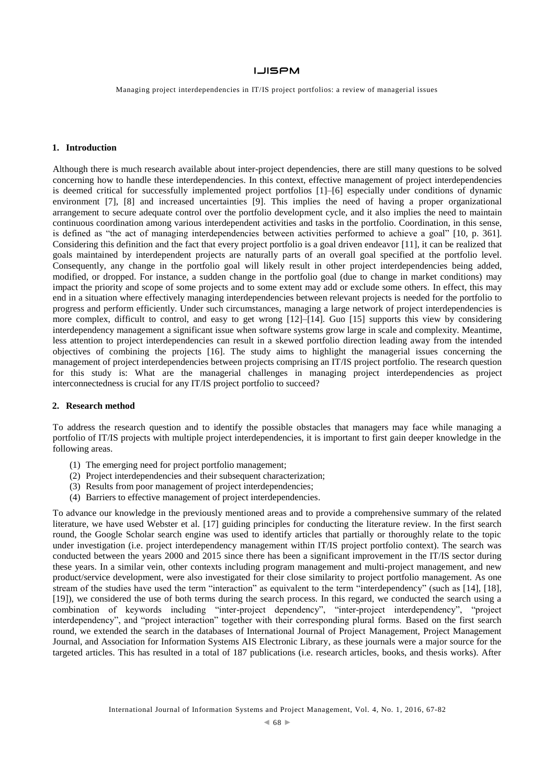Managing project interdependencies in IT/IS project portfolios: a review of managerial issues

## **1. Introduction**

Although there is much research available about inter-project dependencies, there are still many questions to be solved concerning how to handle these interdependencies. In this context, effective management of project interdependencies is deemed critical for successfully implemented project portfolios [1]–[6] especially under conditions of dynamic environment [7], [8] and increased uncertainties [9]. This implies the need of having a proper organizational arrangement to secure adequate control over the portfolio development cycle, and it also implies the need to maintain continuous coordination among various interdependent activities and tasks in the portfolio. Coordination, in this sense, is defined as "the act of managing interdependencies between activities performed to achieve a goal" [10, p. 361]. Considering this definition and the fact that every project portfolio is a goal driven endeavor [11], it can be realized that goals maintained by interdependent projects are naturally parts of an overall goal specified at the portfolio level. Consequently, any change in the portfolio goal will likely result in other project interdependencies being added, modified, or dropped. For instance, a sudden change in the portfolio goal (due to change in market conditions) may impact the priority and scope of some projects and to some extent may add or exclude some others. In effect, this may end in a situation where effectively managing interdependencies between relevant projects is needed for the portfolio to progress and perform efficiently. Under such circumstances, managing a large network of project interdependencies is more complex, difficult to control, and easy to get wrong [12]–[14]. Guo [15] supports this view by considering interdependency management a significant issue when software systems grow large in scale and complexity. Meantime, less attention to project interdependencies can result in a skewed portfolio direction leading away from the intended objectives of combining the projects [16]. The study aims to highlight the managerial issues concerning the management of project interdependencies between projects comprising an IT/IS project portfolio. The research question for this study is: What are the managerial challenges in managing project interdependencies as project interconnectedness is crucial for any IT/IS project portfolio to succeed?

## **2. Research method**

To address the research question and to identify the possible obstacles that managers may face while managing a portfolio of IT/IS projects with multiple project interdependencies, it is important to first gain deeper knowledge in the following areas.

- (1) The emerging need for project portfolio management;
- (2) Project interdependencies and their subsequent characterization;
- (3) Results from poor management of project interdependencies;
- (4) Barriers to effective management of project interdependencies.

To advance our knowledge in the previously mentioned areas and to provide a comprehensive summary of the related literature, we have used Webster et al. [17] guiding principles for conducting the literature review. In the first search round, the Google Scholar search engine was used to identify articles that partially or thoroughly relate to the topic under investigation (i.e. project interdependency management within IT/IS project portfolio context). The search was conducted between the years 2000 and 2015 since there has been a significant improvement in the IT/IS sector during these years. In a similar vein, other contexts including program management and multi-project management, and new product/service development, were also investigated for their close similarity to project portfolio management. As one stream of the studies have used the term "interaction" as equivalent to the term "interdependency" (such as [14], [18], [19]), we considered the use of both terms during the search process. In this regard, we conducted the search using a combination of keywords including "inter-project dependency", "inter-project interdependency", "project interdependency", and "project interaction" together with their corresponding plural forms. Based on the first search round, we extended the search in the databases of International Journal of Project Management, Project Management Journal, and Association for Information Systems AIS Electronic Library, as these journals were a major source for the targeted articles. This has resulted in a total of 187 publications (i.e. research articles, books, and thesis works). After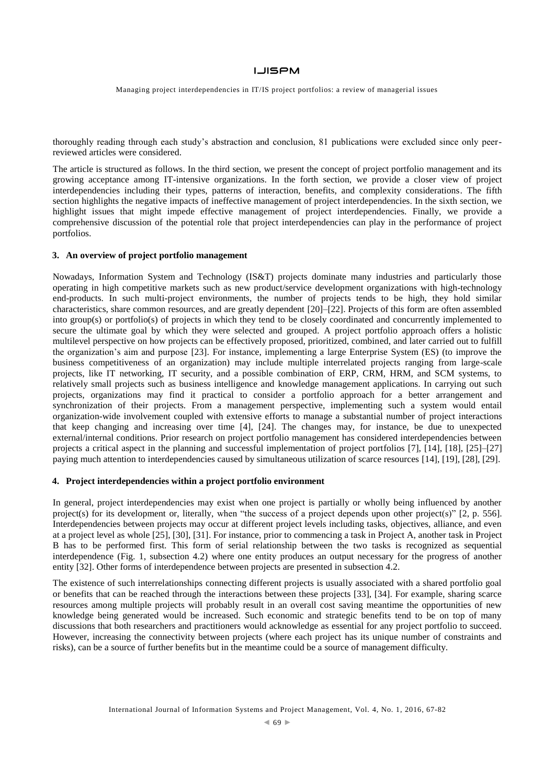Managing project interdependencies in IT/IS project portfolios: a review of managerial issues

thoroughly reading through each study's abstraction and conclusion, 81 publications were excluded since only peerreviewed articles were considered.

The article is structured as follows. In the third section, we present the concept of project portfolio management and its growing acceptance among IT-intensive organizations. In the forth section, we provide a closer view of project interdependencies including their types, patterns of interaction, benefits, and complexity considerations. The fifth section highlights the negative impacts of ineffective management of project interdependencies. In the sixth section, we highlight issues that might impede effective management of project interdependencies. Finally, we provide a comprehensive discussion of the potential role that project interdependencies can play in the performance of project portfolios.

#### **3. An overview of project portfolio management**

Nowadays, Information System and Technology (IS&T) projects dominate many industries and particularly those operating in high competitive markets such as new product/service development organizations with high-technology end-products. In such multi-project environments, the number of projects tends to be high, they hold similar characteristics, share common resources, and are greatly dependent [20]–[22]. Projects of this form are often assembled into group(s) or portfolio(s) of projects in which they tend to be closely coordinated and concurrently implemented to secure the ultimate goal by which they were selected and grouped. A project portfolio approach offers a holistic multilevel perspective on how projects can be effectively proposed, prioritized, combined, and later carried out to fulfill the organization's aim and purpose [23]. For instance, implementing a large Enterprise System (ES) (to improve the business competitiveness of an organization) may include multiple interrelated projects ranging from large-scale projects, like IT networking, IT security, and a possible combination of ERP, CRM, HRM, and SCM systems, to relatively small projects such as business intelligence and knowledge management applications. In carrying out such projects, organizations may find it practical to consider a portfolio approach for a better arrangement and synchronization of their projects. From a management perspective, implementing such a system would entail organization-wide involvement coupled with extensive efforts to manage a substantial number of project interactions that keep changing and increasing over time [4], [24]. The changes may, for instance, be due to unexpected external/internal conditions. Prior research on project portfolio management has considered interdependencies between projects a critical aspect in the planning and successful implementation of project portfolios [7], [14], [18], [25]–[27] paying much attention to interdependencies caused by simultaneous utilization of scarce resources [14], [19], [28], [29].

## **4. Project interdependencies within a project portfolio environment**

In general, project interdependencies may exist when one project is partially or wholly being influenced by another project(s) for its development or, literally, when "the success of a project depends upon other project(s)" [2, p. 556]. Interdependencies between projects may occur at different project levels including tasks, objectives, alliance, and even at a project level as whole [25], [30], [31]. For instance, prior to commencing a task in Project A, another task in Project B has to be performed first. This form of serial relationship between the two tasks is recognized as sequential interdependence (Fig. 1, subsection 4.2) where one entity produces an output necessary for the progress of another entity [32]. Other forms of interdependence between projects are presented in subsection 4.2.

The existence of such interrelationships connecting different projects is usually associated with a shared portfolio goal or benefits that can be reached through the interactions between these projects [33], [34]. For example, sharing scarce resources among multiple projects will probably result in an overall cost saving meantime the opportunities of new knowledge being generated would be increased. Such economic and strategic benefits tend to be on top of many discussions that both researchers and practitioners would acknowledge as essential for any project portfolio to succeed. However, increasing the connectivity between projects (where each project has its unique number of constraints and risks), can be a source of further benefits but in the meantime could be a source of management difficulty.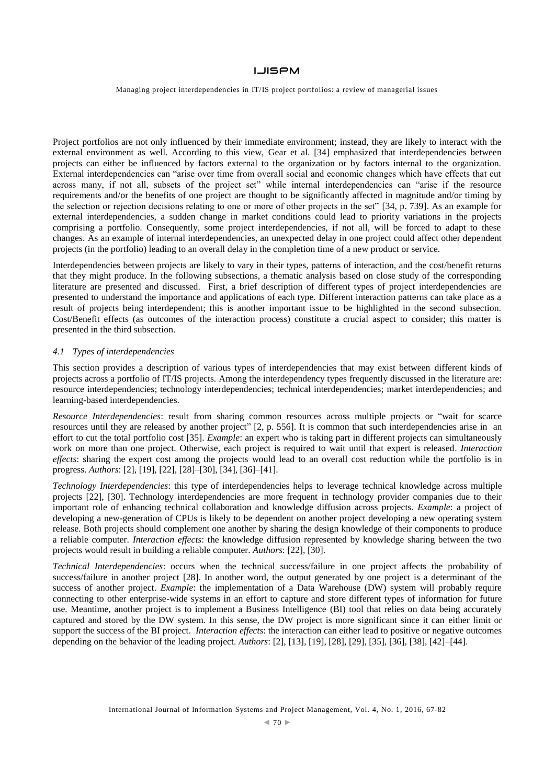Managing project interdependencies in IT/IS project portfolios: a review of managerial issues

Project portfolios are not only influenced by their immediate environment; instead, they are likely to interact with the external environment as well. According to this view, Gear et al. [34] emphasized that interdependencies between projects can either be influenced by factors external to the organization or by factors internal to the organization. External interdependencies can "arise over time from overall social and economic changes which have effects that cut across many, if not all, subsets of the project set" while internal interdependencies can "arise if the resource requirements and/or the benefits of one project are thought to be significantly affected in magnitude and/or timing by the selection or rejection decisions relating to one or more of other projects in the set" [34, p. 739]. As an example for external interdependencies, a sudden change in market conditions could lead to priority variations in the projects comprising a portfolio. Consequently, some project interdependencies, if not all, will be forced to adapt to these changes. As an example of internal interdependencies, an unexpected delay in one project could affect other dependent projects (in the portfolio) leading to an overall delay in the completion time of a new product or service.

Interdependencies between projects are likely to vary in their types, patterns of interaction, and the cost/benefit returns that they might produce. In the following subsections, a thematic analysis based on close study of the corresponding literature are presented and discussed. First, a brief description of different types of project interdependencies are presented to understand the importance and applications of each type. Different interaction patterns can take place as a result of projects being interdependent; this is another important issue to be highlighted in the second subsection. Cost/Benefit effects (as outcomes of the interaction process) constitute a crucial aspect to consider; this matter is presented in the third subsection.

#### *4.1 Types of interdependencies*

This section provides a description of various types of interdependencies that may exist between different kinds of projects across a portfolio of IT/IS projects. Among the interdependency types frequently discussed in the literature are: resource interdependencies; technology interdependencies; technical interdependencies; market interdependencies; and learning-based interdependencies.

*Resource Interdependencies*: result from sharing common resources across multiple projects or "wait for scarce resources until they are released by another project" [2, p. 556]. It is common that such interdependencies arise in an effort to cut the total portfolio cost [35]. *Example*: an expert who is taking part in different projects can simultaneously work on more than one project. Otherwise, each project is required to wait until that expert is released. *Interaction effects*: sharing the expert cost among the projects would lead to an overall cost reduction while the portfolio is in progress. *Authors*: [2], [19], [22], [28]–[30], [34], [36]–[41].

*Technology Interdependencies*: this type of interdependencies helps to leverage technical knowledge across multiple projects [22], [30]. Technology interdependencies are more frequent in technology provider companies due to their important role of enhancing technical collaboration and knowledge diffusion across projects. *Example*: a project of developing a new-generation of CPUs is likely to be dependent on another project developing a new operating system release. Both projects should complement one another by sharing the design knowledge of their components to produce a reliable computer. *Interaction effects*: the knowledge diffusion represented by knowledge sharing between the two projects would result in building a reliable computer. *Authors*: [22], [30].

*Technical Interdependencies*: occurs when the technical success/failure in one project affects the probability of success/failure in another project [28]. In another word, the output generated by one project is a determinant of the success of another project. *Example*: the implementation of a Data Warehouse (DW) system will probably require connecting to other enterprise-wide systems in an effort to capture and store different types of information for future use. Meantime, another project is to implement a Business Intelligence (BI) tool that relies on data being accurately captured and stored by the DW system. In this sense, the DW project is more significant since it can either limit or support the success of the BI project. *Interaction effects*: the interaction can either lead to positive or negative outcomes depending on the behavior of the leading project. *Authors*: [2], [13], [19], [28], [29], [35], [36], [38], [42]–[44].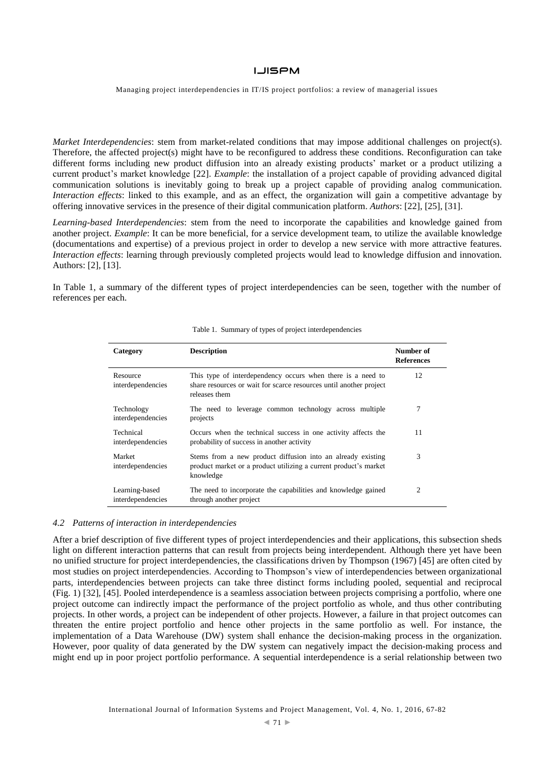Managing project interdependencies in IT/IS project portfolios: a review of managerial issues

*Market Interdependencies*: stem from market-related conditions that may impose additional challenges on project(s). Therefore, the affected project(s) might have to be reconfigured to address these conditions. Reconfiguration can take different forms including new product diffusion into an already existing products' market or a product utilizing a current product's market knowledge [22]. *Example*: the installation of a project capable of providing advanced digital communication solutions is inevitably going to break up a project capable of providing analog communication. *Interaction effects*: linked to this example, and as an effect, the organization will gain a competitive advantage by offering innovative services in the presence of their digital communication platform. *Authors*: [22], [25], [31].

*Learning-based Interdependencies*: stem from the need to incorporate the capabilities and knowledge gained from another project. *Example*: It can be more beneficial, for a service development team, to utilize the available knowledge (documentations and expertise) of a previous project in order to develop a new service with more attractive features. *Interaction effects*: learning through previously completed projects would lead to knowledge diffusion and innovation. Authors: [2], [13].

In Table 1, a summary of the different types of project interdependencies can be seen, together with the number of references per each.

| Category                            | <b>Description</b>                                                                                                                                 | Number of<br><b>References</b> |
|-------------------------------------|----------------------------------------------------------------------------------------------------------------------------------------------------|--------------------------------|
| Resource<br>interdependencies       | This type of interdependency occurs when there is a need to<br>share resources or wait for scarce resources until another project<br>releases them | 12                             |
| Technology<br>interdependencies     | The need to leverage common technology across multiple<br>projects                                                                                 | 7                              |
| Technical<br>interdependencies      | Occurs when the technical success in one activity affects the<br>probability of success in another activity                                        | 11                             |
| Market<br>interdependencies         | Stems from a new product diffusion into an already existing<br>product market or a product utilizing a current product's market<br>knowledge       | 3                              |
| Learning-based<br>interdependencies | The need to incorporate the capabilities and knowledge gained<br>through another project                                                           | 2                              |

#### Table 1. Summary of types of project interdependencies

## *4.2 Patterns of interaction in interdependencies*

After a brief description of five different types of project interdependencies and their applications, this subsection sheds light on different interaction patterns that can result from projects being interdependent. Although there yet have been no unified structure for project interdependencies, the classifications driven by Thompson (1967) [45] are often cited by most studies on project interdependencies. According to Thompson's view of interdependencies between organizational parts, interdependencies between projects can take three distinct forms including pooled, sequential and reciprocal (Fig. 1) [32], [45]. Pooled interdependence is a seamless association between projects comprising a portfolio, where one project outcome can indirectly impact the performance of the project portfolio as whole, and thus other contributing projects. In other words, a project can be independent of other projects. However, a failure in that project outcomes can threaten the entire project portfolio and hence other projects in the same portfolio as well. For instance, the implementation of a Data Warehouse (DW) system shall enhance the decision-making process in the organization. However, poor quality of data generated by the DW system can negatively impact the decision-making process and might end up in poor project portfolio performance. A sequential interdependence is a serial relationship between two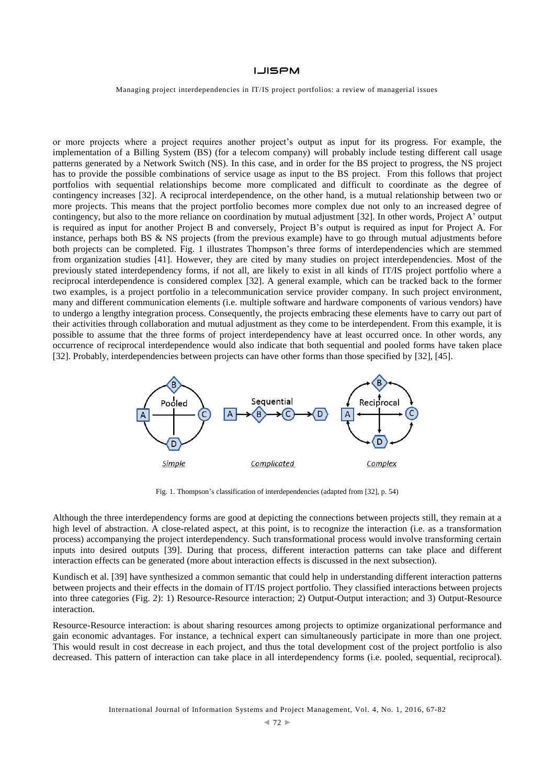Managing project interdependencies in IT/IS project portfolios: a review of managerial issues

or more projects where a project requires another project's output as input for its progress. For example, the implementation of a Billing System (BS) (for a telecom company) will probably include testing different call usage patterns generated by a Network Switch (NS). In this case, and in order for the BS project to progress, the NS project has to provide the possible combinations of service usage as input to the BS project. From this follows that project portfolios with sequential relationships become more complicated and difficult to coordinate as the degree of contingency increases [32]. A reciprocal interdependence, on the other hand, is a mutual relationship between two or more projects. This means that the project portfolio becomes more complex due not only to an increased degree of contingency, but also to the more reliance on coordination by mutual adjustment [32]. In other words, Project A' output is required as input for another Project B and conversely, Project B's output is required as input for Project A. For instance, perhaps both BS & NS projects (from the previous example) have to go through mutual adjustments before both projects can be completed. Fig. 1 illustrates Thompson's three forms of interdependencies which are stemmed from organization studies [41]. However, they are cited by many studies on project interdependencies. Most of the previously stated interdependency forms, if not all, are likely to exist in all kinds of IT/IS project portfolio where a reciprocal interdependence is considered complex [32]. A general example, which can be tracked back to the former two examples, is a project portfolio in a telecommunication service provider company. In such project environment, many and different communication elements (i.e. multiple software and hardware components of various vendors) have to undergo a lengthy integration process. Consequently, the projects embracing these elements have to carry out part of their activities through collaboration and mutual adjustment as they come to be interdependent. From this example, it is possible to assume that the three forms of project interdependency have at least occurred once. In other words, any occurrence of reciprocal interdependence would also indicate that both sequential and pooled forms have taken place [32]. Probably, interdependencies between projects can have other forms than those specified by [32], [45].



Fig. 1. Thompson's classification of interdependencies (adapted from [32], p. 54)

Although the three interdependency forms are good at depicting the connections between projects still, they remain at a high level of abstraction. A close-related aspect, at this point, is to recognize the interaction (i.e. as a transformation process) accompanying the project interdependency. Such transformational process would involve transforming certain inputs into desired outputs [39]. During that process, different interaction patterns can take place and different interaction effects can be generated (more about interaction effects is discussed in the next subsection).

Kundisch et al. [39] have synthesized a common semantic that could help in understanding different interaction patterns between projects and their effects in the domain of IT/IS project portfolio. They classified interactions between projects into three categories (Fig. 2): 1) Resource-Resource interaction; 2) Output-Output interaction; and 3) Output-Resource interaction.

Resource-Resource interaction: is about sharing resources among projects to optimize organizational performance and gain economic advantages. For instance, a technical expert can simultaneously participate in more than one project. This would result in cost decrease in each project, and thus the total development cost of the project portfolio is also decreased. This pattern of interaction can take place in all interdependency forms (i.e. pooled, sequential, reciprocal).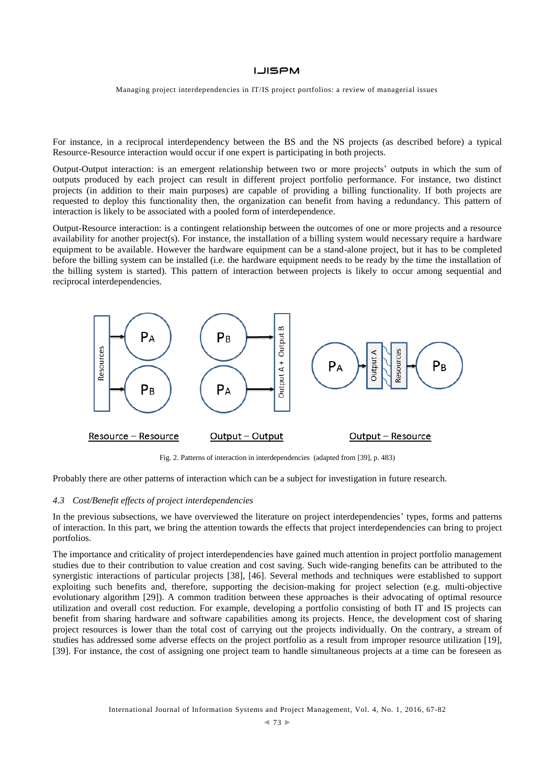Managing project interdependencies in IT/IS project portfolios: a review of managerial issues

For instance, in a reciprocal interdependency between the BS and the NS projects (as described before) a typical Resource-Resource interaction would occur if one expert is participating in both projects.

Output-Output interaction: is an emergent relationship between two or more projects' outputs in which the sum of outputs produced by each project can result in different project portfolio performance. For instance, two distinct projects (in addition to their main purposes) are capable of providing a billing functionality. If both projects are requested to deploy this functionality then, the organization can benefit from having a redundancy. This pattern of interaction is likely to be associated with a pooled form of interdependence.

Output-Resource interaction: is a contingent relationship between the outcomes of one or more projects and a resource availability for another project(s). For instance, the installation of a billing system would necessary require a hardware equipment to be available. However the hardware equipment can be a stand-alone project, but it has to be completed before the billing system can be installed (i.e. the hardware equipment needs to be ready by the time the installation of the billing system is started). This pattern of interaction between projects is likely to occur among sequential and reciprocal interdependencies.



Fig. 2. Patterns of interaction in interdependencies (adapted from [39], p. 483)

Probably there are other patterns of interaction which can be a subject for investigation in future research.

#### *4.3 Cost/Benefit effects of project interdependencies*

In the previous subsections, we have overviewed the literature on project interdependencies' types, forms and patterns of interaction. In this part, we bring the attention towards the effects that project interdependencies can bring to project portfolios.

The importance and criticality of project interdependencies have gained much attention in project portfolio management studies due to their contribution to value creation and cost saving. Such wide-ranging benefits can be attributed to the synergistic interactions of particular projects [38], [46]. Several methods and techniques were established to support exploiting such benefits and, therefore, supporting the decision-making for project selection (e.g. multi-objective evolutionary algorithm [29]). A common tradition between these approaches is their advocating of optimal resource utilization and overall cost reduction. For example, developing a portfolio consisting of both IT and IS projects can benefit from sharing hardware and software capabilities among its projects. Hence, the development cost of sharing project resources is lower than the total cost of carrying out the projects individually. On the contrary, a stream of studies has addressed some adverse effects on the project portfolio as a result from improper resource utilization [19], [39]. For instance, the cost of assigning one project team to handle simultaneous projects at a time can be foreseen as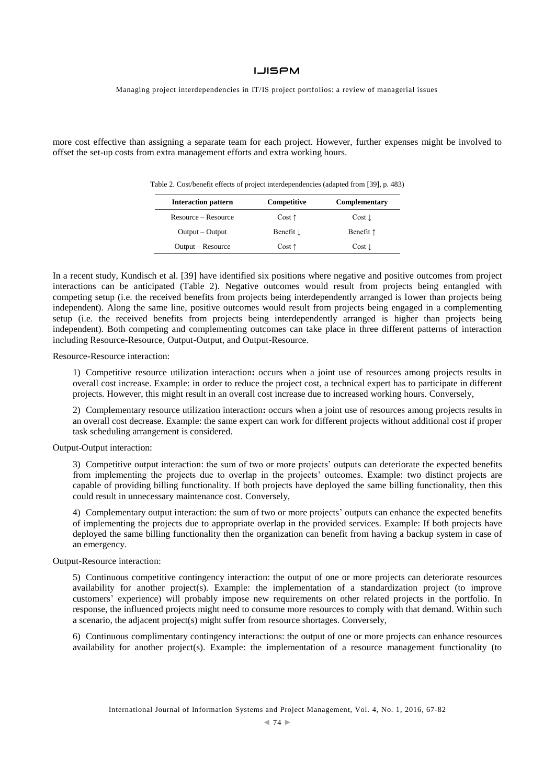Managing project interdependencies in IT/IS project portfolios: a review of managerial issues

more cost effective than assigning a separate team for each project. However, further expenses might be involved to offset the set-up costs from extra management efforts and extra working hours.

| Table 2. Cost/benefit effects of project interdependencies (adapted from [39], p. 483) |  |  |  |
|----------------------------------------------------------------------------------------|--|--|--|
|----------------------------------------------------------------------------------------|--|--|--|

| <b>Interaction pattern</b> | Competitive     | Complementary      |
|----------------------------|-----------------|--------------------|
| Resource – Resource        | $Cost \uparrow$ | $Cost \downarrow$  |
| Output – Output            | Benefit 1       | Benefit $\uparrow$ |
| Output – Resource          | $Cost \uparrow$ | $Cost \downarrow$  |

In a recent study, Kundisch et al. [39] have identified six positions where negative and positive outcomes from project interactions can be anticipated (Table 2). Negative outcomes would result from projects being entangled with competing setup (i.e. the received benefits from projects being interdependently arranged is lower than projects being independent). Along the same line, positive outcomes would result from projects being engaged in a complementing setup (i.e. the received benefits from projects being interdependently arranged is higher than projects being independent). Both competing and complementing outcomes can take place in three different patterns of interaction including Resource-Resource, Output-Output, and Output-Resource.

Resource-Resource interaction:

1) Competitive resource utilization interaction**:** occurs when a joint use of resources among projects results in overall cost increase. Example: in order to reduce the project cost, a technical expert has to participate in different projects. However, this might result in an overall cost increase due to increased working hours. Conversely,

2) Complementary resource utilization interaction**:** occurs when a joint use of resources among projects results in an overall cost decrease. Example: the same expert can work for different projects without additional cost if proper task scheduling arrangement is considered.

## Output-Output interaction:

3) Competitive output interaction: the sum of two or more projects' outputs can deteriorate the expected benefits from implementing the projects due to overlap in the projects' outcomes. Example: two distinct projects are capable of providing billing functionality. If both projects have deployed the same billing functionality, then this could result in unnecessary maintenance cost. Conversely,

4) Complementary output interaction: the sum of two or more projects' outputs can enhance the expected benefits of implementing the projects due to appropriate overlap in the provided services. Example: If both projects have deployed the same billing functionality then the organization can benefit from having a backup system in case of an emergency.

#### Output-Resource interaction:

5) Continuous competitive contingency interaction: the output of one or more projects can deteriorate resources availability for another project(s). Example: the implementation of a standardization project (to improve customers' experience) will probably impose new requirements on other related projects in the portfolio. In response, the influenced projects might need to consume more resources to comply with that demand. Within such a scenario, the adjacent project(s) might suffer from resource shortages. Conversely,

6) Continuous complimentary contingency interactions: the output of one or more projects can enhance resources availability for another project(s). Example: the implementation of a resource management functionality (to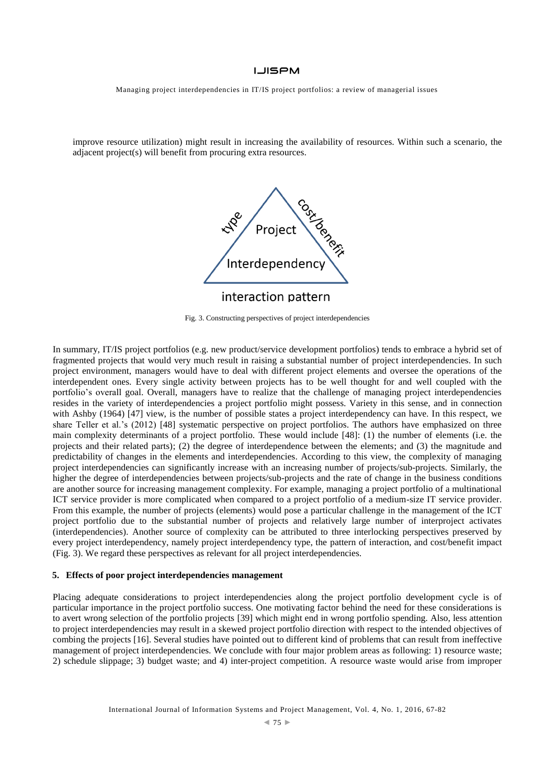Managing project interdependencies in IT/IS project portfolios: a review of managerial issues

improve resource utilization) might result in increasing the availability of resources. Within such a scenario, the adjacent project(s) will benefit from procuring extra resources.



Fig. 3. Constructing perspectives of project interdependencies

In summary, IT/IS project portfolios (e.g. new product/service development portfolios) tends to embrace a hybrid set of fragmented projects that would very much result in raising a substantial number of project interdependencies. In such project environment, managers would have to deal with different project elements and oversee the operations of the interdependent ones. Every single activity between projects has to be well thought for and well coupled with the portfolio's overall goal. Overall, managers have to realize that the challenge of managing project interdependencies resides in the variety of interdependencies a project portfolio might possess. Variety in this sense, and in connection with Ashby (1964) [47] view, is the number of possible states a project interdependency can have. In this respect, we share Teller et al.'s (2012) [48] systematic perspective on project portfolios. The authors have emphasized on three main complexity determinants of a project portfolio. These would include [48]: (1) the number of elements (i.e. the projects and their related parts); (2) the degree of interdependence between the elements; and (3) the magnitude and predictability of changes in the elements and interdependencies. According to this view, the complexity of managing project interdependencies can significantly increase with an increasing number of projects/sub-projects. Similarly, the higher the degree of interdependencies between projects/sub-projects and the rate of change in the business conditions are another source for increasing management complexity. For example, managing a project portfolio of a multinational ICT service provider is more complicated when compared to a project portfolio of a medium-size IT service provider. From this example, the number of projects (elements) would pose a particular challenge in the management of the ICT project portfolio due to the substantial number of projects and relatively large number of interproject activates (interdependencies). Another source of complexity can be attributed to three interlocking perspectives preserved by every project interdependency, namely project interdependency type, the pattern of interaction, and cost/benefit impact (Fig. 3). We regard these perspectives as relevant for all project interdependencies.

## **5. Effects of poor project interdependencies management**

Placing adequate considerations to project interdependencies along the project portfolio development cycle is of particular importance in the project portfolio success. One motivating factor behind the need for these considerations is to avert wrong selection of the portfolio projects [39] which might end in wrong portfolio spending. Also, less attention to project interdependencies may result in a skewed project portfolio direction with respect to the intended objectives of combing the projects [16]. Several studies have pointed out to different kind of problems that can result from ineffective management of project interdependencies. We conclude with four major problem areas as following: 1) resource waste; 2) schedule slippage; 3) budget waste; and 4) inter-project competition. A resource waste would arise from improper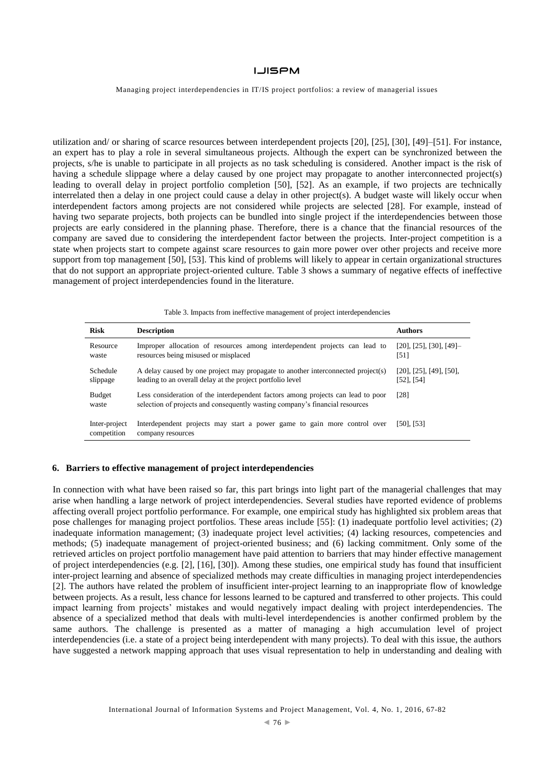Managing project interdependencies in IT/IS project portfolios: a review of managerial issues

utilization and/ or sharing of scarce resources between interdependent projects [20], [25], [30], [49]–[51]. For instance, an expert has to play a role in several simultaneous projects. Although the expert can be synchronized between the projects, s/he is unable to participate in all projects as no task scheduling is considered. Another impact is the risk of having a schedule slippage where a delay caused by one project may propagate to another interconnected project(s) leading to overall delay in project portfolio completion [50], [52]. As an example, if two projects are technically interrelated then a delay in one project could cause a delay in other project(s). A budget waste will likely occur when interdependent factors among projects are not considered while projects are selected [28]. For example, instead of having two separate projects, both projects can be bundled into single project if the interdependencies between those projects are early considered in the planning phase. Therefore, there is a chance that the financial resources of the company are saved due to considering the interdependent factor between the projects. Inter-project competition is a state when projects start to compete against scare resources to gain more power over other projects and receive more support from top management [50], [53]. This kind of problems will likely to appear in certain organizational structures that do not support an appropriate project-oriented culture. Table 3 shows a summary of negative effects of ineffective management of project interdependencies found in the literature.

|  |  | Table 3. Impacts from ineffective management of project interdependencies |  |  |
|--|--|---------------------------------------------------------------------------|--|--|
|  |  |                                                                           |  |  |

| <b>Risk</b>                  | <b>Description</b>                                                                                                                                               | <b>Authors</b>                                    |
|------------------------------|------------------------------------------------------------------------------------------------------------------------------------------------------------------|---------------------------------------------------|
| Resource<br>waste            | Improper allocation of resources among interdependent projects can lead to<br>resources being misused or misplaced                                               | $[20]$ , $[25]$ , $[30]$ , $[49]$ -<br>[51]       |
| Schedule<br>slippage         | A delay caused by one project may propagate to another interconnected project(s)<br>leading to an overall delay at the project portfolio level                   | $[20]$ , $[25]$ , $[49]$ , $[50]$ ,<br>[52], [54] |
| <b>Budget</b><br>waste       | Less consideration of the interdependent factors among projects can lead to poor<br>selection of projects and consequently wasting company's financial resources | [28]                                              |
| Inter-project<br>competition | Interdependent projects may start a power game to gain more control over<br>company resources                                                                    | $[50]$ , $[53]$                                   |

## **6. Barriers to effective management of project interdependencies**

In connection with what have been raised so far, this part brings into light part of the managerial challenges that may arise when handling a large network of project interdependencies. Several studies have reported evidence of problems affecting overall project portfolio performance. For example, one empirical study has highlighted six problem areas that pose challenges for managing project portfolios. These areas include [55]: (1) inadequate portfolio level activities; (2) inadequate information management; (3) inadequate project level activities; (4) lacking resources, competencies and methods; (5) inadequate management of project-oriented business; and (6) lacking commitment. Only some of the retrieved articles on project portfolio management have paid attention to barriers that may hinder effective management of project interdependencies (e.g. [2], [16], [30]). Among these studies, one empirical study has found that insufficient inter-project learning and absence of specialized methods may create difficulties in managing project interdependencies [2]. The authors have related the problem of insufficient inter-project learning to an inappropriate flow of knowledge between projects. As a result, less chance for lessons learned to be captured and transferred to other projects. This could impact learning from projects' mistakes and would negatively impact dealing with project interdependencies. The absence of a specialized method that deals with multi-level interdependencies is another confirmed problem by the same authors. The challenge is presented as a matter of managing a high accumulation level of project interdependencies (i.e. a state of a project being interdependent with many projects). To deal with this issue, the authors have suggested a network mapping approach that uses visual representation to help in understanding and dealing with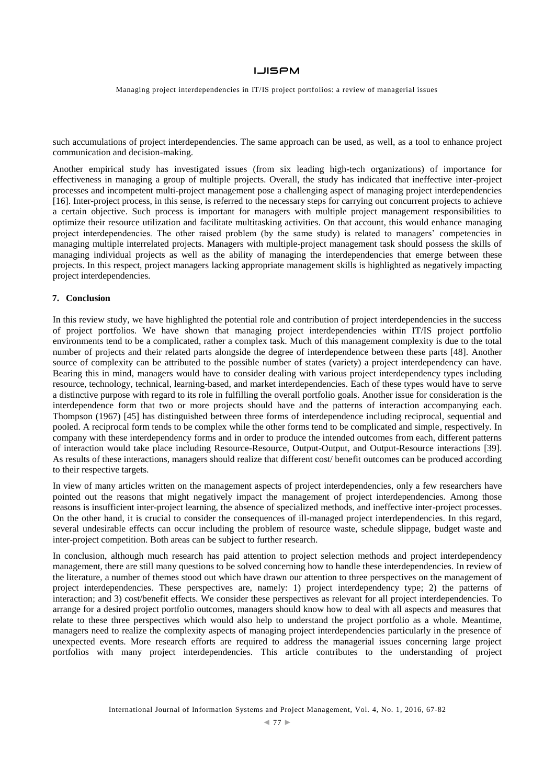Managing project interdependencies in IT/IS project portfolios: a review of managerial issues

such accumulations of project interdependencies. The same approach can be used, as well, as a tool to enhance project communication and decision-making.

Another empirical study has investigated issues (from six leading high-tech organizations) of importance for effectiveness in managing a group of multiple projects. Overall, the study has indicated that ineffective inter-project processes and incompetent multi-project management pose a challenging aspect of managing project interdependencies [16]. Inter-project process, in this sense, is referred to the necessary steps for carrying out concurrent projects to achieve a certain objective. Such process is important for managers with multiple project management responsibilities to optimize their resource utilization and facilitate multitasking activities. On that account, this would enhance managing project interdependencies. The other raised problem (by the same study) is related to managers' competencies in managing multiple interrelated projects. Managers with multiple-project management task should possess the skills of managing individual projects as well as the ability of managing the interdependencies that emerge between these projects. In this respect, project managers lacking appropriate management skills is highlighted as negatively impacting project interdependencies.

#### **7. Conclusion**

In this review study, we have highlighted the potential role and contribution of project interdependencies in the success of project portfolios. We have shown that managing project interdependencies within IT/IS project portfolio environments tend to be a complicated, rather a complex task. Much of this management complexity is due to the total number of projects and their related parts alongside the degree of interdependence between these parts [48]. Another source of complexity can be attributed to the possible number of states (variety) a project interdependency can have. Bearing this in mind, managers would have to consider dealing with various project interdependency types including resource, technology, technical, learning-based, and market interdependencies. Each of these types would have to serve a distinctive purpose with regard to its role in fulfilling the overall portfolio goals. Another issue for consideration is the interdependence form that two or more projects should have and the patterns of interaction accompanying each. Thompson (1967) [45] has distinguished between three forms of interdependence including reciprocal, sequential and pooled. A reciprocal form tends to be complex while the other forms tend to be complicated and simple, respectively. In company with these interdependency forms and in order to produce the intended outcomes from each, different patterns of interaction would take place including Resource-Resource, Output-Output, and Output-Resource interactions [39]. As results of these interactions, managers should realize that different cost/ benefit outcomes can be produced according to their respective targets.

In view of many articles written on the management aspects of project interdependencies, only a few researchers have pointed out the reasons that might negatively impact the management of project interdependencies. Among those reasons is insufficient inter-project learning, the absence of specialized methods, and ineffective inter-project processes. On the other hand, it is crucial to consider the consequences of ill-managed project interdependencies. In this regard, several undesirable effects can occur including the problem of resource waste, schedule slippage, budget waste and inter-project competition. Both areas can be subject to further research.

In conclusion, although much research has paid attention to project selection methods and project interdependency management, there are still many questions to be solved concerning how to handle these interdependencies. In review of the literature, a number of themes stood out which have drawn our attention to three perspectives on the management of project interdependencies. These perspectives are, namely: 1) project interdependency type; 2) the patterns of interaction; and 3) cost/benefit effects. We consider these perspectives as relevant for all project interdependencies. To arrange for a desired project portfolio outcomes, managers should know how to deal with all aspects and measures that relate to these three perspectives which would also help to understand the project portfolio as a whole. Meantime, managers need to realize the complexity aspects of managing project interdependencies particularly in the presence of unexpected events. More research efforts are required to address the managerial issues concerning large project portfolios with many project interdependencies. This article contributes to the understanding of project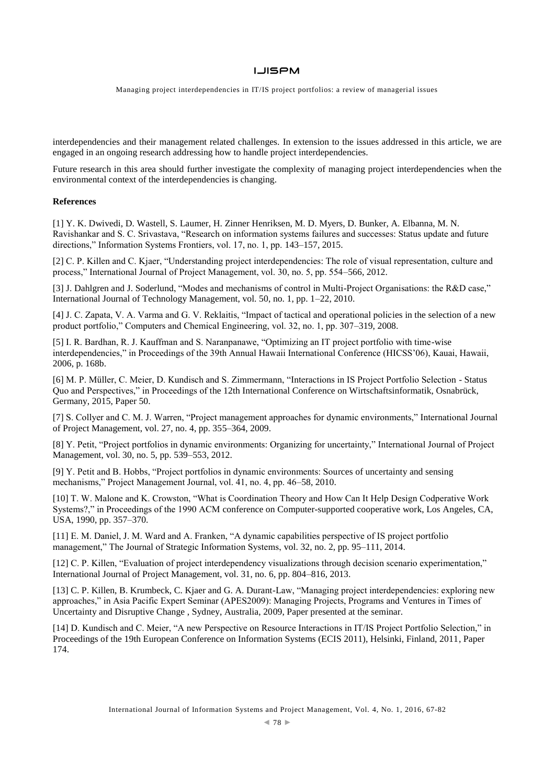Managing project interdependencies in IT/IS project portfolios: a review of managerial issues

interdependencies and their management related challenges. In extension to the issues addressed in this article, we are engaged in an ongoing research addressing how to handle project interdependencies.

Future research in this area should further investigate the complexity of managing project interdependencies when the environmental context of the interdependencies is changing.

## **References**

[1] Y. K. Dwivedi, D. Wastell, S. Laumer, H. Zinner Henriksen, M. D. Myers, D. Bunker, A. Elbanna, M. N. Ravishankar and S. C. Srivastava, "Research on information systems failures and successes: Status update and future directions," Information Systems Frontiers, vol. 17, no. 1, pp. 143–157, 2015.

[2] C. P. Killen and C. Kjaer, "Understanding project interdependencies: The role of visual representation, culture and process," International Journal of Project Management, vol. 30, no. 5, pp. 554–566, 2012.

[3] J. Dahlgren and J. Soderlund, "Modes and mechanisms of control in Multi-Project Organisations: the R&D case," International Journal of Technology Management, vol. 50, no. 1, pp. 1–22, 2010.

[4] J. C. Zapata, V. A. Varma and G. V. Reklaitis, "Impact of tactical and operational policies in the selection of a new product portfolio," Computers and Chemical Engineering, vol. 32, no. 1, pp. 307–319, 2008.

[5] I. R. Bardhan, R. J. Kauffman and S. Naranpanawe, "Optimizing an IT project portfolio with time-wise interdependencies," in Proceedings of the 39th Annual Hawaii International Conference (HICSS'06), Kauai, Hawaii, 2006, p. 168b.

[6] M. P. Müller, C. Meier, D. Kundisch and S. Zimmermann, "Interactions in IS Project Portfolio Selection - Status Quo and Perspectives," in Proceedings of the 12th International Conference on Wirtschaftsinformatik, Osnabrück, Germany, 2015, Paper 50.

[7] S. Collyer and C. M. J. Warren, "Project management approaches for dynamic environments," International Journal of Project Management, vol. 27, no. 4, pp. 355–364, 2009.

[8] Y. Petit, "Project portfolios in dynamic environments: Organizing for uncertainty," International Journal of Project Management, vol. 30, no. 5, pp. 539–553, 2012.

[9] Y. Petit and B. Hobbs, "Project portfolios in dynamic environments: Sources of uncertainty and sensing mechanisms," Project Management Journal, vol. 41, no. 4, pp. 46–58, 2010.

[10] T. W. Malone and K. Crowston, "What is Coordination Theory and How Can It Help Design Codperative Work Systems?," in Proceedings of the 1990 ACM conference on Computer-supported cooperative work, Los Angeles, CA, USA, 1990, pp. 357–370.

[11] E. M. Daniel, J. M. Ward and A. Franken, "A dynamic capabilities perspective of IS project portfolio management," The Journal of Strategic Information Systems, vol. 32, no. 2, pp. 95–111, 2014.

[12] C. P. Killen, "Evaluation of project interdependency visualizations through decision scenario experimentation," International Journal of Project Management, vol. 31, no. 6, pp. 804–816, 2013.

[13] C. P. Killen, B. Krumbeck, C. Kjaer and G. A. Durant-Law, "Managing project interdependencies: exploring new approaches," in Asia Pacific Expert Seminar (APES2009): Managing Projects, Programs and Ventures in Times of Uncertainty and Disruptive Change , Sydney, Australia, 2009, Paper presented at the seminar.

[14] D. Kundisch and C. Meier, "A new Perspective on Resource Interactions in IT/IS Project Portfolio Selection," in Proceedings of the 19th European Conference on Information Systems (ECIS 2011), Helsinki, Finland, 2011, Paper 174.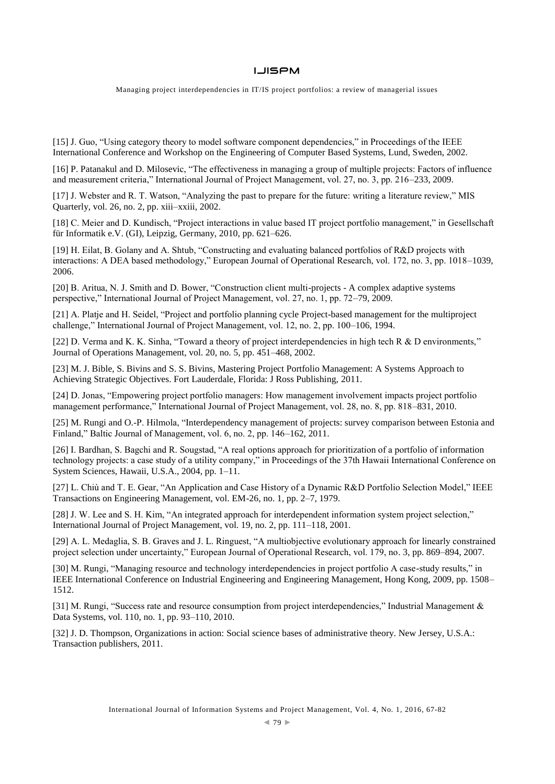Managing project interdependencies in IT/IS project portfolios: a review of managerial issues

[15] J. Guo, "Using category theory to model software component dependencies," in Proceedings of the IEEE International Conference and Workshop on the Engineering of Computer Based Systems, Lund, Sweden, 2002.

[16] P. Patanakul and D. Milosevic, "The effectiveness in managing a group of multiple projects: Factors of influence and measurement criteria," International Journal of Project Management, vol. 27, no. 3, pp. 216–233, 2009.

[17] J. Webster and R. T. Watson, "Analyzing the past to prepare for the future: writing a literature review," MIS Quarterly, vol. 26, no. 2, pp. xiii–xxiii, 2002.

[18] C. Meier and D. Kundisch, "Project interactions in value based IT project portfolio management," in Gesellschaft für Informatik e.V. (GI), Leipzig, Germany, 2010, pp. 621–626.

[19] H. Eilat, B. Golany and A. Shtub, "Constructing and evaluating balanced portfolios of R&D projects with interactions: A DEA based methodology," European Journal of Operational Research, vol. 172, no. 3, pp. 1018–1039, 2006.

[20] B. Aritua, N. J. Smith and D. Bower, "Construction client multi-projects - A complex adaptive systems perspective," International Journal of Project Management, vol. 27, no. 1, pp. 72–79, 2009.

[21] A. Platje and H. Seidel, "Project and portfolio planning cycle Project-based management for the multiproject challenge," International Journal of Project Management, vol. 12, no. 2, pp. 100–106, 1994.

[22] D. Verma and K. K. Sinha, "Toward a theory of project interdependencies in high tech R & D environments," Journal of Operations Management, vol. 20, no. 5, pp. 451–468, 2002.

[23] M. J. Bible, S. Bivins and S. S. Bivins, Mastering Project Portfolio Management: A Systems Approach to Achieving Strategic Objectives. Fort Lauderdale, Florida: J Ross Publishing, 2011.

[24] D. Jonas, "Empowering project portfolio managers: How management involvement impacts project portfolio management performance," International Journal of Project Management, vol. 28, no. 8, pp. 818–831, 2010.

[25] M. Rungi and O.-P. Hilmola, "Interdependency management of projects: survey comparison between Estonia and Finland," Baltic Journal of Management, vol. 6, no. 2, pp. 146–162, 2011.

[26] I. Bardhan, S. Bagchi and R. Sougstad, "A real options approach for prioritization of a portfolio of information technology projects: a case study of a utility company," in Proceedings of the 37th Hawaii International Conference on System Sciences, Hawaii, U.S.A., 2004, pp. 1–11.

[27] L. Chiù and T. E. Gear, "An Application and Case History of a Dynamic R&D Portfolio Selection Model," IEEE Transactions on Engineering Management, vol. EM-26, no. 1, pp. 2–7, 1979.

[28] J. W. Lee and S. H. Kim, "An integrated approach for interdependent information system project selection," International Journal of Project Management, vol. 19, no. 2, pp. 111–118, 2001.

[29] A. L. Medaglia, S. B. Graves and J. L. Ringuest, "A multiobjective evolutionary approach for linearly constrained project selection under uncertainty," European Journal of Operational Research, vol. 179, no. 3, pp. 869–894, 2007.

[30] M. Rungi, "Managing resource and technology interdependencies in project portfolio A case-study results," in IEEE International Conference on Industrial Engineering and Engineering Management, Hong Kong, 2009, pp. 1508– 1512.

[31] M. Rungi, "Success rate and resource consumption from project interdependencies," Industrial Management & Data Systems, vol. 110, no. 1, pp. 93–110, 2010.

[32] J. D. Thompson, Organizations in action: Social science bases of administrative theory. New Jersey, U.S.A.: Transaction publishers, 2011.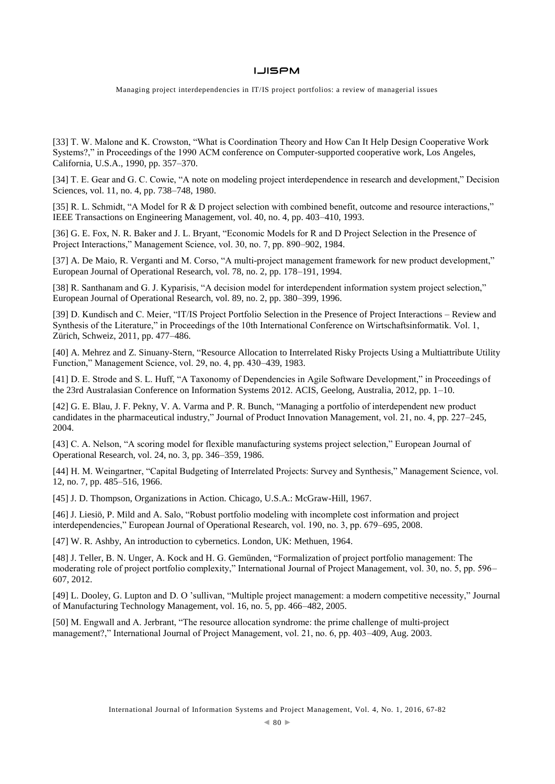Managing project interdependencies in IT/IS project portfolios: a review of managerial issues

[33] T. W. Malone and K. Crowston, "What is Coordination Theory and How Can It Help Design Cooperative Work Systems?," in Proceedings of the 1990 ACM conference on Computer-supported cooperative work, Los Angeles, California, U.S.A., 1990, pp. 357–370.

[34] T. E. Gear and G. C. Cowie, "A note on modeling project interdependence in research and development," Decision Sciences, vol. 11, no. 4, pp. 738–748, 1980.

[35] R. L. Schmidt, "A Model for R & D project selection with combined benefit, outcome and resource interactions," IEEE Transactions on Engineering Management, vol. 40, no. 4, pp. 403–410, 1993.

[36] G. E. Fox, N. R. Baker and J. L. Bryant, "Economic Models for R and D Project Selection in the Presence of Project Interactions," Management Science, vol. 30, no. 7, pp. 890–902, 1984.

[37] A. De Maio, R. Verganti and M. Corso, "A multi-project management framework for new product development," European Journal of Operational Research, vol. 78, no. 2, pp. 178–191, 1994.

[38] R. Santhanam and G. J. Kyparisis, "A decision model for interdependent information system project selection," European Journal of Operational Research, vol. 89, no. 2, pp. 380–399, 1996.

[39] D. Kundisch and C. Meier, "IT/IS Project Portfolio Selection in the Presence of Project Interactions – Review and Synthesis of the Literature," in Proceedings of the 10th International Conference on Wirtschaftsinformatik. Vol. 1, Zürich, Schweiz, 2011, pp. 477–486.

[40] A. Mehrez and Z. Sinuany-Stern, "Resource Allocation to Interrelated Risky Projects Using a Multiattribute Utility Function," Management Science, vol. 29, no. 4, pp. 430–439, 1983.

[41] D. E. Strode and S. L. Huff, "A Taxonomy of Dependencies in Agile Software Development," in Proceedings of the 23rd Australasian Conference on Information Systems 2012. ACIS, Geelong, Australia, 2012, pp. 1–10.

[42] G. E. Blau, J. F. Pekny, V. A. Varma and P. R. Bunch, "Managing a portfolio of interdependent new product candidates in the pharmaceutical industry," Journal of Product Innovation Management, vol. 21, no. 4, pp. 227–245, 2004.

[43] C. A. Nelson, "A scoring model for flexible manufacturing systems project selection," European Journal of Operational Research, vol. 24, no. 3, pp. 346–359, 1986.

[44] H. M. Weingartner, "Capital Budgeting of Interrelated Projects: Survey and Synthesis," Management Science, vol. 12, no. 7, pp. 485–516, 1966.

[45] J. D. Thompson, Organizations in Action. Chicago, U.S.A.: McGraw-Hill, 1967.

[46] J. Liesiö, P. Mild and A. Salo, "Robust portfolio modeling with incomplete cost information and project interdependencies," European Journal of Operational Research, vol. 190, no. 3, pp. 679–695, 2008.

[47] W. R. Ashby, An introduction to cybernetics. London, UK: Methuen, 1964.

[48] J. Teller, B. N. Unger, A. Kock and H. G. Gemünden, "Formalization of project portfolio management: The moderating role of project portfolio complexity," International Journal of Project Management, vol. 30, no. 5, pp. 596– 607, 2012.

[49] L. Dooley, G. Lupton and D. O 'sullivan, "Multiple project management: a modern competitive necessity," Journal of Manufacturing Technology Management, vol. 16, no. 5, pp. 466–482, 2005.

[50] M. Engwall and A. Jerbrant, "The resource allocation syndrome: the prime challenge of multi-project management?," International Journal of Project Management, vol. 21, no. 6, pp. 403–409, Aug. 2003.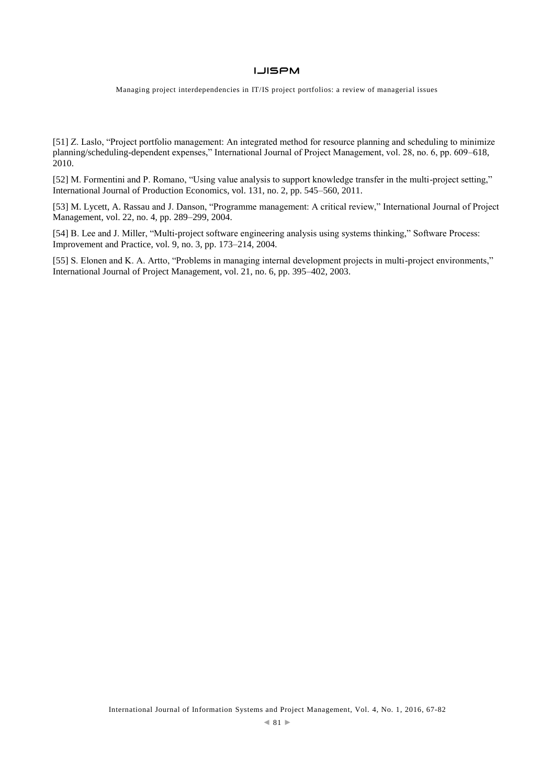Managing project interdependencies in IT/IS project portfolios: a review of managerial issues

[51] Z. Laslo, "Project portfolio management: An integrated method for resource planning and scheduling to minimize planning/scheduling-dependent expenses," International Journal of Project Management, vol. 28, no. 6, pp. 609–618, 2010.

[52] M. Formentini and P. Romano, "Using value analysis to support knowledge transfer in the multi-project setting," International Journal of Production Economics, vol. 131, no. 2, pp. 545–560, 2011.

[53] M. Lycett, A. Rassau and J. Danson, "Programme management: A critical review," International Journal of Project Management, vol. 22, no. 4, pp. 289–299, 2004.

[54] B. Lee and J. Miller, "Multi-project software engineering analysis using systems thinking," Software Process: Improvement and Practice, vol. 9, no. 3, pp. 173–214, 2004.

[55] S. Elonen and K. A. Artto, "Problems in managing internal development projects in multi-project environments," International Journal of Project Management, vol. 21, no. 6, pp. 395–402, 2003.